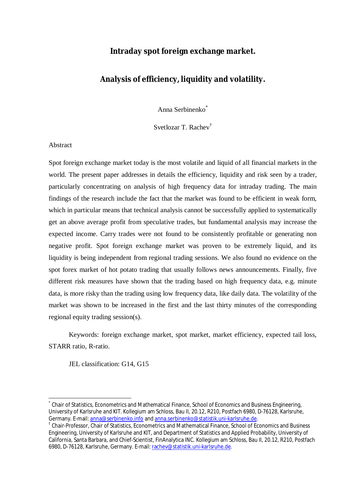# **Intraday spot foreign exchange market.**

# **Analysis of efficiency, liquidity and volatility.**

Anna Serbinenko\*

Svetlozar T. Rachev†

### Abstract

 $\overline{a}$ 

Spot foreign exchange market today is the most volatile and liquid of all financial markets in the world. The present paper addresses in details the efficiency, liquidity and risk seen by a trader, particularly concentrating on analysis of high frequency data for intraday trading. The main findings of the research include the fact that the market was found to be efficient in weak form, which in particular means that technical analysis cannot be successfully applied to systematically get an above average profit from speculative trades, but fundamental analysis may increase the expected income. Carry trades were not found to be consistently profitable or generating non negative profit. Spot foreign exchange market was proven to be extremely liquid, and its liquidity is being independent from regional trading sessions. We also found no evidence on the spot forex market of hot potato trading that usually follows news announcements. Finally, five different risk measures have shown that the trading based on high frequency data, e.g. minute data, is more risky than the trading using low frequency data, like daily data. The volatility of the market was shown to be increased in the first and the last thirty minutes of the corresponding regional equity trading session(s).

Keywords: foreign exchange market, spot market, market efficiency, expected tail loss, STARR ratio, R-ratio.

JEL classification: G14, G15

<sup>\*</sup> Chair of Statistics, Econometrics and Mathematical Finance, School of Economics and Business Engineering, University of Karlsruhe and KIT. Kollegium am Schloss, Bau II, 20.12, R210, Postfach 6980, D-76128, Karlsruhe, Germany. E-mail: [anna@serbinenko.info](mailto:anna@serbinenko.info) and [anna.serbinenko@statistik.uni-karlsruhe.de.](mailto:anna.serbinenko@statistik.uni-karlsruhe.de)

<sup>&</sup>lt;sup>†</sup> Chair-Professor, Chair of Statistics, Econometrics and Mathematical Finance, School of Economics and Business Engineering, University of Karlsruhe and KIT, and Department of Statistics and Applied Probability, University of California, Santa Barbara, and Chief-Scientist, FinAnalytica INC. Kollegium am Schloss, Bau II, 20.12, R210, Postfach 6980, D-76128, Karlsruhe, Germany. E-mail: [rachev@statistik.uni-karlsruhe.de](mailto:rachev@statistik.uni-karlsruhe.de).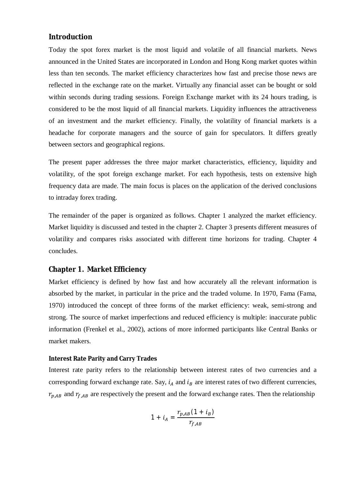# **Introduction**

Today the spot forex market is the most liquid and volatile of all financial markets. News announced in the United States are incorporated in London and Hong Kong market quotes within less than ten seconds. The market efficiency characterizes how fast and precise those news are reflected in the exchange rate on the market. Virtually any financial asset can be bought or sold within seconds during trading sessions. Foreign Exchange market with its 24 hours trading, is considered to be the most liquid of all financial markets. Liquidity influences the attractiveness of an investment and the market efficiency. Finally, the volatility of financial markets is a headache for corporate managers and the source of gain for speculators. It differs greatly between sectors and geographical regions.

The present paper addresses the three major market characteristics, efficiency, liquidity and volatility, of the spot foreign exchange market. For each hypothesis, tests on extensive high frequency data are made. The main focus is places on the application of the derived conclusions to intraday forex trading.

The remainder of the paper is organized as follows. Chapter 1 analyzed the market efficiency. Market liquidity is discussed and tested in the chapter 2. Chapter 3 presents different measures of volatility and compares risks associated with different time horizons for trading. Chapter 4 concludes.

# **Chapter 1. Market Efficiency**

Market efficiency is defined by how fast and how accurately all the relevant information is absorbed by the market, in particular in the price and the traded volume. In 1970, Fama (Fama, 1970) introduced the concept of three forms of the market efficiency: weak, semi-strong and strong. The source of market imperfections and reduced efficiency is multiple: inaccurate public information (Frenkel et al., 2002), actions of more informed participants like Central Banks or market makers.

#### **Interest Rate Parity and Carry Trades**

Interest rate parity refers to the relationship between interest rates of two currencies and a corresponding forward exchange rate. Say,  $i_A$  and  $i_B$  are interest rates of two different currencies,  $r_{p,AB}$  and  $r_{f,AB}$  are respectively the present and the forward exchange rates. Then the relationship

$$
1 + i_A = \frac{r_{p,AB}(1 + i_B)}{r_{f,AB}}
$$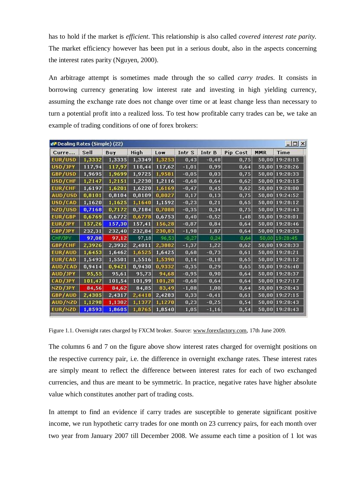has to hold if the market is *efficient*. This relationship is also called *covered interest rate parity.* The market efficiency however has been put in a serious doubt, also in the aspects concerning the interest rates parity (Nguyen, 2000).

An arbitrage attempt is sometimes made through the so called *carry trades*. It consists in borrowing currency generating low interest rate and investing in high yielding currency, assuming the exchange rate does not change over time or at least change less than necessary to turn a potential profit into a realized loss. To test how profitable carry trades can be, we take an example of trading conditions of one of forex brokers:

| <b>WA Dealing Rates (Simple) (22)</b> |        |        |        |        |         |          |          |       | $ \Box$ $\times$ |
|---------------------------------------|--------|--------|--------|--------|---------|----------|----------|-------|------------------|
| Curre                                 | Sell   | Buy    | High   | Low    | Intr S  | Intr B   | Pip Cost | MMR   | <b>Time</b>      |
| <b>EUR/USD</b>                        | 1,3332 | 1,3335 | 1,3349 | 1,3253 | 0,43    | $-0,48$  | 0,75     |       | 50,00 19:28:15   |
| USD/JPY                               | 117,94 | 117,97 | 118,44 | 117,62 | $-1,01$ | 0,99     | 0,64     | 50,00 | 19:28:26         |
| GBP/USD                               | 1,9695 | 1,9699 | 1,9725 | 1,9581 | $-0,05$ | 0,03     | 0,75     |       | 50,00 19:28:33   |
| USD/CHF                               | 1,2147 | 1,2151 | 1,2230 | 1,2116 | $-0,68$ | 0,64     | 0,62     |       | 50,00 19:28:15   |
| <b>EUR/CHF</b>                        | 1,6197 | 1,6201 | 1,6220 | 1,6169 | $-0,47$ | 0,45     | 0,62     |       | 50,00 19:28:00   |
| AUD/USD                               | 0,8101 | 0,8104 | 0,8109 | 0,8027 | 0,17    | 0, 13    | 0,75     | 50,00 | 19:24:52         |
| USD/CAD                               | 1,1620 | 1,1625 | 1,1640 | 1,1592 | $-0,23$ | 0,21     | 0,65     |       | 50,00 19:28:12   |
| NZD/USD                               | 0,7168 | 0,7172 | 0,7184 | 0,7088 | $-0,35$ | 0,34     | 0,75     | 50,00 | 19:28:43         |
| EUR/GBP                               | 0,6769 | 0,6772 | 0,6778 | 0,6753 | 0,40    | $-0,52$  | 1,48     |       | 50,00 19:28:01   |
| EUR/JPY                               | 157,26 | 157,30 | 157,41 | 156,28 | $-0,87$ | 0,84     | 0,64     | 50,00 | 19:28:46         |
| GBP/JPY                               | 232,31 | 232,40 | 232,84 | 230,83 | $-1,98$ | 1,87     | 0,64     |       | 50,00 19:28:33   |
| CHF/JPY                               | 97,08  | 97,12  | 97,18  | 96,53  | $-0,27$ | 0,24     | 0,64     | 50,00 | 19:28:45         |
| GBP/CHF                               | 2,3926 | 2,3932 | 2,4011 | 2,3882 | $-1,37$ | 1,22     | 0,62     | 50,00 | 19:28:33         |
| EUR/AUD                               | 1,6453 | 1,6462 | 1,6525 | 1,6425 | 0,68    | $-0,73$  | 0,61     | 50,00 | 19:28:21         |
| EUR/CAD                               | 1,5493 | 1,5501 | 1,5516 | 1,5390 | 0,14    | $-0,18$  | 0,65     | 50,00 | 19:28:12         |
| AUD/CAD                               | 0,9414 | 0,9421 | 0,9430 | 0,9332 | $-0,35$ | 0,29     | 0,65     | 50,00 | 19:26:40         |
| AUD/JPY                               | 95,55  | 95,61  | 95,73  | 94,68  | $-0,95$ | 0,90     | 0,64     | 50,00 | 19:28:37         |
| <b>CAD/JPY</b>                        | 101,47 | 101,54 | 101,99 | 101,28 | $-0,68$ | 0,64     | 0,64     | 50,00 | 19:27:17         |
| NZD/JPY                               | 84,56  | 84,62  | 84,85  | 83,49  | $-1,08$ | 1,00     | 0,64     |       | 50,00 19:28:43   |
| GBP/AUD                               | 2,4305 | 2,4317 | 2,4418 | 2,4283 | 0,33    | $-0,41$  | 0,61     | 50,00 | 19:27:15         |
| AUD/NZD                               | 1,1298 | 1,1302 | 1,1377 | 1,1270 | 0,23    | $-0,25$  | 0,54     |       | 50,00 19:28:43   |
| EUR/NZD                               | 1,8593 | 1,8605 | 1,8765 | 1,8540 | 1,05    | $-1, 16$ | 0,54     | 50,00 | 19:28:43         |

Figure 1.1. Overnight rates charged by FXCM broker. Source: [www.forexfactory.com](http://www.forexfactory.com), 17th June 2009.

The columns 6 and 7 on the figure above show interest rates charged for overnight positions on the respective currency pair, i.e. the difference in overnight exchange rates. These interest rates are simply meant to reflect the difference between interest rates for each of two exchanged currencies, and thus are meant to be symmetric. In practice, negative rates have higher absolute value which constitutes another part of trading costs.

In attempt to find an evidence if carry trades are susceptible to generate significant positive income, we run hypothetic carry trades for one month on 23 currency pairs, for each month over two year from January 2007 till December 2008. We assume each time a position of 1 lot was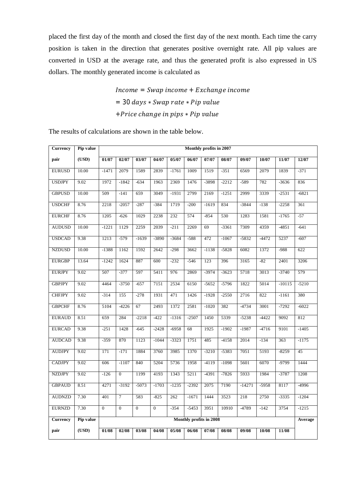placed the first day of the month and closed the first day of the next month. Each time the carry position is taken in the direction that generates positive overnight rate. All pip values are converted in USD at the average rate, and thus the generated profit is also expressed in US dollars. The monthly generated income is calculated as

> $Income = Swap\ income + Exchange\ income$  $= 30 \ days * Swap rate * Pip value$ + Price change in pips \* Pip value

The results of calculations are shown in the table below.

| Currency        | Pip value |                         |                |                |                |         |         | Monthly profits in 2007 |         |          |         |          |         |
|-----------------|-----------|-------------------------|----------------|----------------|----------------|---------|---------|-------------------------|---------|----------|---------|----------|---------|
| pair            | (USD)     | 01/07                   | 02/07          | 03/07          | 04/07          | 05/07   | 06/07   | 07/07                   | 08/07   | 09/07    | 10/07   | 11/07    | 12/07   |
| <b>EURUSD</b>   | 10.00     | $-1471$                 | 2079           | 1589           | 2839           | $-1761$ | 1009    | 1519                    | $-351$  | 6569     | 2079    | 1839     | $-371$  |
| <b>USDJPY</b>   | 9.02      | 1972                    | $-1842$        | $-634$         | 1963           | 2369    | 1476    | -3898                   | $-2212$ | $-589$   | 782     | $-3636$  | 836     |
| <b>GBPUSD</b>   | 10.00     | 509                     | $-141$         | 659            | 3049           | $-1931$ | 2799    | 2169                    | $-1251$ | 2999     | 3339    | $-2531$  | $-6821$ |
| <b>USDCHF</b>   | 8.76      | 2218                    | $-2057$        | $-287$         | $-384$         | 1719    | $-200$  | $-1619$                 | 834     | $-3844$  | $-138$  | $-2258$  | 361     |
| <b>EURCHF</b>   | 8.76      | 1205                    | $-626$         | 1029           | 2238           | 232     | 574     | $-854$                  | 530     | 1283     | 1581    | $-1765$  | $-57$   |
| <b>AUDUSD</b>   | 10.00     | $-1221$                 | 1129           | 2259           | 2039           | $-211$  | 2269    | 69                      | $-3361$ | 7309     | 4359    | $-4851$  | $-641$  |
| <b>USDCAD</b>   | 9.38      | 1213                    | $-579$         | $-1639$        | -3890          | $-3684$ | $-588$  | 472                     | $-1067$ | $-5832$  | $-4472$ | 5237     | $-607$  |
| <b>NZDUSD</b>   | 10.00     | $-1388$                 | 1162           | 1592           | 2642           | $-298$  | 3662    | $-1138$                 | $-5828$ | 6082     | 1372    | $-988$   | 622     |
| <b>EURGBP</b>   | 13.64     | $-1242$                 | 1624           | 887            | 600            | $-232$  | $-546$  | 123                     | 396     | 3165     | $-82$   | 2401     | 3206    |
| <b>EURJPY</b>   | 9.02      | 507                     | $-377$         | 597            | 5411           | 976     | 2869    | $-3974$                 | $-3623$ | 5718     | 3013    | $-3740$  | 579     |
| <b>GBPJPY</b>   | 9.02      | 4464                    | $-3750$        | $-657$         | 7151           | 2534    | 6150    | $-5652$                 | $-5796$ | 1822     | 5014    | $-10115$ | $-5210$ |
| <b>CHFJPY</b>   | 9.02      | $-314$                  | 155            | $-278$         | 1931           | 471     | 1426    | $-1928$                 | $-2550$ | 2716     | 822     | $-1161$  | 380     |
| <b>GBPCHF</b>   | 8.76      | 5104                    | $-4226$        | 67             | 2493           | 1372    | 2581    | $-1020$                 | 382     | $-4734$  | 3001    | $-7292$  | $-6022$ |
| <b>EURAUD</b>   | 8.51      | 659                     | 284            | $-2218$        | $-422$         | $-1316$ | $-2507$ | 1450                    | 5339    | $-5238$  | $-4422$ | 9092     | 812     |
| <b>EURCAD</b>   | 9.38      | $-251$                  | 1428           | $-645$         | $-2428$        | $-6958$ | 68      | 1925                    | $-1902$ | $-1987$  | $-4716$ | 9101     | $-1405$ |
| <b>AUDCAD</b>   | 9.38      | $-359$                  | 870            | 1123           | $-1044$        | $-3323$ | 1751    | 485                     | $-4158$ | 2014     | $-134$  | 363      | $-1175$ |
| <b>AUDJPY</b>   | 9.02      | 171                     | $-171$         | 1884           | 3760           | 3985    | 1370    | $-3210$                 | $-5383$ | 7051     | 5193    | $-8259$  | 45      |
| <b>CADJPY</b>   | 9.02      | 606                     | $-1107$        | 840            | 5204           | 5736    | 1958    | $-4119$                 | $-1098$ | 5601     | 6070    | $-9799$  | 1444    |
| <b>NZDJPY</b>   | 9.02      | $-126$                  | $\overline{0}$ | 1199           | 4193           | 1343    | 5211    | $-4391$                 | $-7826$ | 5933     | 1984    | $-3787$  | 1208    |
| <b>GBPAUD</b>   | 8.51      | 4271                    | $-3192$        | $-5073$        | $-1703$        | $-1235$ | $-2392$ | 2075                    | 7190    | $-14271$ | $-5958$ | 8117     | $-4996$ |
| <b>AUDNZD</b>   | 7.30      | 401                     | $\overline{7}$ | 583            | $-825$         | 262     | $-1671$ | 1444                    | 3523    | 218      | 2750    | $-3335$  | $-1204$ |
| <b>EURNZD</b>   | 7.30      | $\overline{0}$          | $\overline{0}$ | $\overline{0}$ | $\overline{0}$ | $-354$  | $-5453$ | 3951                    | 10910   | $-4789$  | $-142$  | 3754     | $-1215$ |
| <b>Currency</b> | Pip value | Monthly profits in 2008 |                |                |                |         |         | Average                 |         |          |         |          |         |
| pair            | (USD)     | 01/08                   | 02/08          | 03/08          | 04/08          | 05/08   | 06/08   | 07/08                   | 08/08   | 09/08    | 10/08   | 11/08    |         |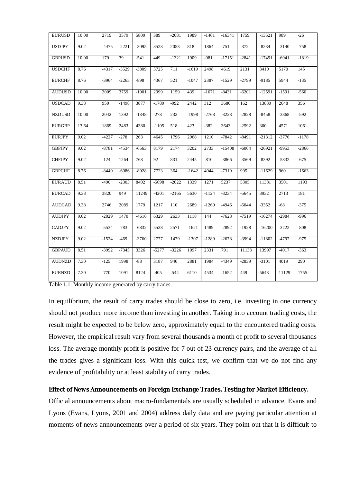| <b>EURUSD</b> | 10.00 | 2719    | 3579    | 5809             | 389     | $-2081$ | 1989    | $-1461$ | $-16341$ | 1759    | $-13521$ | 989     | $-26$   |
|---------------|-------|---------|---------|------------------|---------|---------|---------|---------|----------|---------|----------|---------|---------|
| <b>USDJPY</b> | 9.02  | $-4475$ | $-2221$ | $-3095$          | 3523    | 2053    | 818     | 1864    | $-751$   | $-372$  | $-8234$  | $-3140$ | $-758$  |
| <b>GBPUSD</b> | 10.00 | 179     | 39      | $-541$           | 449     | $-1321$ | 1909    | $-981$  | $-17151$ | $-2841$ | $-17491$ | $-6941$ | $-1819$ |
| <b>USDCHF</b> | 8.76  | $-4317$ | $-3529$ | $-3809$          | 3725    | 711     | $-1619$ | 2498    | 4619     | 2131    | 3410     | 5170    | 145     |
| <b>EURCHF</b> | 8.76  | $-3964$ | $-2265$ | $-898$           | 4367    | 521     | $-1047$ | 2387    | $-1529$  | $-2799$ | $-9185$  | 5944    | $-135$  |
| <b>AUDUSD</b> | 10.00 | 2009    | 3759    | $-1901$          | 2999    | 1159    | 439     | $-1671$ | $-8431$  | $-6201$ | $-12591$ | $-1591$ | $-560$  |
| <b>USDCAD</b> | 9.38  | 950     | $-1498$ | 3877             | $-1789$ | $-992$  | 2442    | 312     | 3680     | 162     | 13830    | 2648    | 356     |
| <b>NZDUSD</b> | 10.00 | 2042    | 1392    | $-1348$          | $-278$  | 232     | $-1998$ | $-2768$ | $-3228$  | $-2828$ | $-8458$  | $-3868$ | $-592$  |
| <b>EURGBP</b> | 13.64 | 1869    | 2483    | 4380             | $-1105$ | 518     | 423     | $-382$  | 3643     | $-2592$ | 300      | 4571    | 1061    |
| <b>EURJPY</b> | 9.02  | $-4227$ | $-278$  | $\overline{263}$ | 4645    | 1796    | 2968    | 1210    | $-7842$  | $-8491$ | $-21312$ | $-3776$ | $-1178$ |
| <b>GBPJPY</b> | 9.02  | $-8781$ | $-4534$ | $-6563$          | 8179    | 2174    | 3202    | 2733    | $-15408$ | $-6004$ | $-26921$ | $-9953$ | $-2866$ |
| <b>CHFJPY</b> | 9.02  | $-124$  | 1264    | 768              | 92      | 831     | 2445    | $-810$  | $-3866$  | $-3569$ | $-8392$  | $-5832$ | $-675$  |
| <b>GBPCHF</b> | 8.76  | $-8440$ | $-6986$ | $-8028$          | 7723    | 364     | $-1642$ | 4044    | $-7319$  | 995     | $-11629$ | 960     | $-1663$ |
| <b>EURAUD</b> | 8.51  | $-490$  | $-2303$ | 8402             | $-5698$ | $-2022$ | 1339    | 1271    | 5237     | 5305    | 11381    | 3501    | 1193    |
| <b>EURCAD</b> | 9.38  | 3820    | 949     | 11249            | $-4201$ | $-2165$ | 5630    | $-1124$ | $-3234$  | $-5645$ | 3932     | 2713    | 181     |
| <b>AUDCAD</b> | 9.38  | 2746    | 2089    | 1779             | 1217    | 110     | 2689    | $-1260$ | $-4946$  | $-6044$ | $-3352$  | $-68$   | $-375$  |
| <b>AUDJPY</b> | 9.02  | $-2029$ | 1470    | $-4616$          | 6329    | 2633    | 1118    | 144     | $-7628$  | $-7519$ | $-16274$ | $-2984$ | $-996$  |
| <b>CADJPY</b> | 9.02  | $-5534$ | $-783$  | $-6832$          | 5538    | 2571    | $-1621$ | 1489    | $-2892$  | $-1928$ | $-16200$ | $-3722$ | $-808$  |
| <b>NZDJPY</b> | 9.02  | $-1524$ | $-469$  | $-3760$          | 2777    | 1479    | $-1307$ | $-1289$ | $-2678$  | $-3994$ | $-11802$ | -4797   | $-975$  |
| <b>GBPAUD</b> | 8.51  | $-3992$ | $-7345$ | 3326             | $-5277$ | $-3226$ | 1097    | 2331    | 791      | 11138   | 13997    | $-4017$ | $-363$  |
| <b>AUDNZD</b> | 7.30  | $-125$  | 1998    | $-88$            | 3187    | 940     | 2881    | 1984    | $-4349$  | $-2839$ | $-3101$  | 4019    | 290     |
| <b>EURNZD</b> | 7.30  | $-770$  | 1091    | 8124             | $-405$  | $-544$  | 6110    | 4534    | $-1652$  | 449     | 5643     | 11129   | 1755    |

Table 1.1. Monthly income generated by carry trades.

In equilibrium, the result of carry trades should be close to zero, i.e. investing in one currency should not produce more income than investing in another. Taking into account trading costs, the result might be expected to be below zero, approximately equal to the encountered trading costs. However, the empirical result vary from several thousands a month of profit to several thousands loss. The average monthly profit is positive for 7 out of 23 currency pairs, and the average of all the trades gives a significant loss. With this quick test, we confirm that we do not find any evidence of profitability or at least stability of carry trades.

### **Effect of News Announcements on Foreign Exchange Trades. Testing for Market Efficiency.**

Official announcements about macro-fundamentals are usually scheduled in advance. Evans and Lyons (Evans, Lyons, 2001 and 2004) address daily data and are paying particular attention at moments of news announcements over a period of six years. They point out that it is difficult to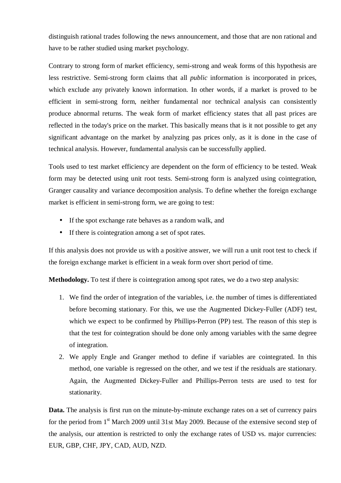distinguish rational trades following the news announcement, and those that are non rational and have to be rather studied using market psychology.

Contrary to strong form of market efficiency, semi-strong and weak forms of this hypothesis are less restrictive. Semi-strong form claims that all *public* information is incorporated in prices, which exclude any privately known information. In other words, if a market is proved to be efficient in semi-strong form, neither fundamental nor technical analysis can consistently produce abnormal returns. The weak form of market efficiency states that all past prices are reflected in the today's price on the market. This basically means that is it not possible to get any significant advantage on the market by analyzing pas prices only, as it is done in the case of technical analysis. However, fundamental analysis can be successfully applied.

Tools used to test market efficiency are dependent on the form of efficiency to be tested. Weak form may be detected using unit root tests. Semi-strong form is analyzed using cointegration, Granger causality and variance decomposition analysis. To define whether the foreign exchange market is efficient in semi-strong form, we are going to test:

- If the spot exchange rate behaves as a random walk, and
- If there is cointegration among a set of spot rates.

If this analysis does not provide us with a positive answer, we will run a unit root test to check if the foreign exchange market is efficient in a weak form over short period of time.

**Methodology.** To test if there is cointegration among spot rates, we do a two step analysis:

- 1. We find the order of integration of the variables, i.e. the number of times is differentiated before becoming stationary. For this, we use the Augmented Dickey-Fuller (ADF) test, which we expect to be confirmed by Phillips-Perron (PP) test. The reason of this step is that the test for cointegration should be done only among variables with the same degree of integration.
- 2. We apply Engle and Granger method to define if variables are cointegrated. In this method, one variable is regressed on the other, and we test if the residuals are stationary. Again, the Augmented Dickey-Fuller and Phillips-Perron tests are used to test for stationarity.

**Data.** The analysis is first run on the minute-by-minute exchange rates on a set of currency pairs for the period from  $1<sup>st</sup>$  March 2009 until 31st May 2009. Because of the extensive second step of the analysis, our attention is restricted to only the exchange rates of USD vs. major currencies: EUR, GBP, CHF, JPY, CAD, AUD, NZD.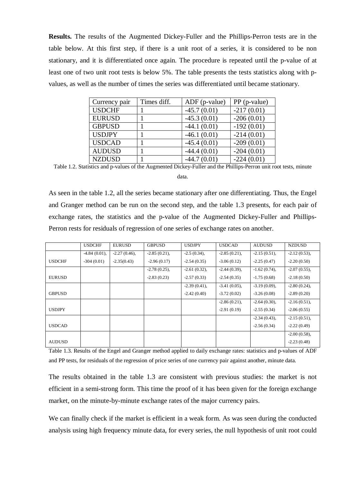**Results.** The results of the Augmented Dickey-Fuller and the Phillips-Perron tests are in the table below. At this first step, if there is a unit root of a series, it is considered to be non stationary, and it is differentiated once again. The procedure is repeated until the p-value of at least one of two unit root tests is below 5%. The table presents the tests statistics along with pvalues, as well as the number of times the series was differentiated until became stationary.

| Currency pair | Times diff. | $ADF$ (p-value) | PP (p-value) |
|---------------|-------------|-----------------|--------------|
| <b>USDCHF</b> |             | $-45.7(0.01)$   | $-217(0.01)$ |
| <b>EURUSD</b> |             | $-45.3(0.01)$   | $-206(0.01)$ |
| <b>GBPUSD</b> |             | $-44.1(0.01)$   | $-192(0.01)$ |
| <b>USDJPY</b> |             | $-46.1(0.01)$   | $-214(0.01)$ |
| <b>USDCAD</b> |             | $-45.4(0.01)$   | $-209(0.01)$ |
| <b>AUDUSD</b> |             | $-44.4(0.01)$   | $-204(0.01)$ |
| <b>NZDUSD</b> |             | $-44.7(0.01)$   | $-224(0.01)$ |

Table 1.2. Statistics and p-values of the Augmented Dickey-Fuller and the Phillips-Perron unit root tests, minute

data.

As seen in the table 1.2, all the series became stationary after one differentiating. Thus, the Engel and Granger method can be run on the second step, and the table 1.3 presents, for each pair of exchange rates, the statistics and the p-value of the Augmented Dickey-Fuller and Phillips-Perron rests for residuals of regression of one series of exchange rates on another.

|               | <b>USDCHF</b>   | <b>EURUSD</b>   | <b>GBPUSD</b>   | <b>USDJPY</b>   | <b>USDCAD</b>   | <b>AUDUSD</b>   | <b>NZDUSD</b>   |
|---------------|-----------------|-----------------|-----------------|-----------------|-----------------|-----------------|-----------------|
|               | $-4.84(0.01)$ , | $-2.27(0.46)$ , | $-2.85(0.21)$ , | $-2.5(0.34)$ ,  | $-2.85(0.21)$ , | $-2.15(0.51)$ , | $-2.12(0.53)$ , |
| <b>USDCHF</b> | $-304(0.01)$    | $-2.35(0.43)$   | $-2.96(0.17)$   | $-2.54(0.35)$   | $-3.06(0.12)$   | $-2.25(0.47)$   | $-2.20(0.50)$   |
|               |                 |                 | $-2.78(0.25)$ , | $-2.61(0.32)$ , | $-2.44(0.39)$ , | $-1.62(0.74)$ , | $-2.07(0.55)$ , |
| <b>EURUSD</b> |                 |                 | $-2.83(0.23)$   | $-2.57(0.33)$   | $-2.54(0.35)$   | $-1.75(0.68)$   | $-2.18(0.50)$   |
|               |                 |                 |                 | $-2.39(0.41)$ , | $-3.41(0.05)$ , | $-3.19(0.09)$ , | $-2.80(0.24)$ , |
| <b>GBPUSD</b> |                 |                 |                 | $-2.42(0.40)$   | $-3.72(0.02)$   | $-3.26(0.08)$   | $-2.89(0.20)$   |
|               |                 |                 |                 |                 | $-2.86(0.21)$ , | $-2.64(0.30)$ , | $-2.16(0.51)$ , |
| <b>USDJPY</b> |                 |                 |                 |                 | $-2.91(0.19)$   | $-2.55(0.34)$   | $-2.06(0.55)$   |
|               |                 |                 |                 |                 |                 | $-2.34(0.43)$ , | $-2.15(0.51)$ , |
| <b>USDCAD</b> |                 |                 |                 |                 |                 | $-2.56(0.34)$   | $-2.22(0.49)$   |
|               |                 |                 |                 |                 |                 |                 | $-2.00(0.58)$ , |
| <b>AUDUSD</b> |                 |                 |                 |                 |                 |                 | $-2.23(0.48)$   |

Table 1.3. Results of the Engel and Granger method applied to daily exchange rates: statistics and p-values of ADF and PP tests, for residuals of the regression of price series of one currency pair against another, minute data.

The results obtained in the table 1.3 are consistent with previous studies: the market is not efficient in a semi-strong form. This time the proof of it has been given for the foreign exchange market, on the minute-by-minute exchange rates of the major currency pairs.

We can finally check if the market is efficient in a weak form. As was seen during the conducted analysis using high frequency minute data, for every series, the null hypothesis of unit root could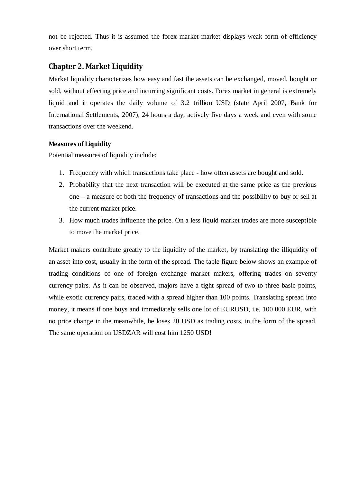not be rejected. Thus it is assumed the forex market market displays weak form of efficiency over short term.

# **Chapter 2. Market Liquidity**

Market liquidity characterizes how easy and fast the assets can be exchanged, moved, bought or sold, without effecting price and incurring significant costs. Forex market in general is extremely liquid and it operates the daily volume of 3.2 trillion USD (state April 2007, Bank for International Settlements, 2007), 24 hours a day, actively five days a week and even with some transactions over the weekend.

# **Measures of Liquidity**

Potential measures of liquidity include:

- 1. Frequency with which transactions take place how often assets are bought and sold.
- 2. Probability that the next transaction will be executed at the same price as the previous one – a measure of both the frequency of transactions and the possibility to buy or sell at the current market price.
- 3. How much trades influence the price. On a less liquid market trades are more susceptible to move the market price.

Market makers contribute greatly to the liquidity of the market, by translating the illiquidity of an asset into cost, usually in the form of the spread. The table figure below shows an example of trading conditions of one of foreign exchange market makers, offering trades on seventy currency pairs. As it can be observed, majors have a tight spread of two to three basic points, while exotic currency pairs, traded with a spread higher than 100 points. Translating spread into money, it means if one buys and immediately sells one lot of EURUSD, i.e. 100 000 EUR, with no price change in the meanwhile, he loses 20 USD as trading costs, in the form of the spread. The same operation on USDZAR will cost him 1250 USD!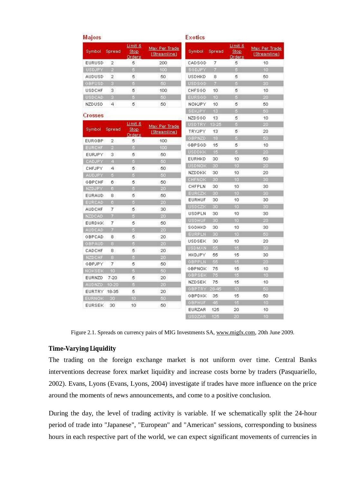| Majors        |                 |                                  |                               | <b>Exotics</b> |                  |                                   |                               |
|---------------|-----------------|----------------------------------|-------------------------------|----------------|------------------|-----------------------------------|-------------------------------|
| Symbol        | Spread          | Limit &<br>Stop<br><b>Orders</b> | Max Per Trade<br>(Streamline) | Symbol         | Spread           | Li mit &<br><b>Stop</b><br>Orders | Max Per Trade<br>(Streamline) |
| EURUSD        | $\overline{2}$  | 5                                | 200                           | CADSGD         | $\overline{7}$   | 5                                 | 10                            |
| USDJPY        | 2               | 5                                | 100                           | SGDJPY         | 7                | 5                                 | 10 <sub>10</sub>              |
| <b>AUDUSD</b> | $\overline{2}$  | 5                                | 50                            | <b>USDHKD</b>  | 8                | 5                                 | 50                            |
| GBPUSD        | $\mathbf{a}$    | G.                               | 50                            | <b>USDSGD</b>  | 7                | $\overline{a}$                    | 30                            |
| <b>USDCHF</b> | з               | 5                                | 100                           | <b>CHFSGD</b>  | 10               | 5                                 | 10                            |
| <b>USDCAD</b> | $\alpha$        | a                                | 50                            | <b>EURSGD</b>  | 10               | $\overline{B}$                    | 20                            |
| NZDUSD        | 4               | 5.                               | 50                            | NOKJPY         | 10               | 5                                 | 50                            |
|               |                 |                                  |                               | SEKJPY         | 13 <sub>13</sub> | 5                                 | 50                            |
| Crosses       |                 |                                  |                               | NZDSGD         | 13               | 5                                 | 10                            |
|               |                 | Limit &                          | Max Per Trade                 | USDTRY         | 13-25            | 5                                 | 20                            |
| Symbol        | Spread          | Stop.                            | (Streamline)                  | TRYJPY         | 13               | 5                                 | 20                            |
|               |                 | Orders                           |                               | GBPNZD         | 18               | 5                                 | 50                            |
| <b>EURGBP</b> | $\overline{2}$  | 5                                | 100                           | GBPSGD         | 15               | 5                                 | 10                            |
| <b>EURCHF</b> | $\mathbb{Z}$    | 5.                               | 100                           | <b>USDDKK</b>  | 15               | 5                                 | 20                            |
| EURJPY        | 3               | 5.                               | 50                            | EURHKD         | 30               | 10                                | 50                            |
| CADJPY        | $\overline{4}$  | 5                                | 50                            | <b>USDNOK</b>  | 30               | 10 <sub>1</sub>                   | 20                            |
| CHFJPY        | 4               | 5.                               | 50                            | NZDDKK         | 30               | 10                                | 20                            |
| <b>AUDJPY</b> | $\sqrt{5}$      | $\overline{5}$                   | 50                            | CHENOK         | 30               | 10 <sup>10</sup>                  | 30                            |
| GBPCHF        | 6.              | 5.                               | 50                            | CHFPLN         | 30               | 10                                | 30                            |
| NZDJPY        | 6               | ő.                               | 20                            | EURCZK         | 30               | 10 <sup>10</sup>                  | 30                            |
| EURAUD        | 8               | 5                                | 50                            | EURHUF         | 30               | 10                                | 30                            |
| <b>EURCAD</b> | 6               | 5.                               | 20                            | <b>USDCZK</b>  | 30.              | 10                                | 30                            |
| <b>AUDCHF</b> | 7               | 5                                | 30                            | USDPLN         | 30               | 10                                | 30                            |
| NZDCAD        | $\mathcal{T}$   | 6.                               | 20                            | <b>USDHUF</b>  | 30               | 10                                | 20                            |
| <b>EURDKK</b> | $\overline{7}$  | 5                                | 50                            | SGDHKD         | 30               | 10                                | 30                            |
| <b>AUDCAD</b> | $7\,$           | 5.                               | 20                            | <b>EURPLN</b>  | 30               | 10                                | 50                            |
| GBPCAD        | 8               | 5                                | 20                            | USDSEK         | 30               | 10                                | 20                            |
| GBPAUD        | 8               | 5.                               | 20                            |                | 55               |                                   |                               |
| CADCHF        | 8               | 5                                | 20                            | <b>USDMXN</b>  |                  | 15                                | 30                            |
| NZDCHF        | 8               | 5.                               | 20                            | HKDJPY         | 55               | 15                                | 30                            |
| GBPJPY        | 7               | 5                                | 50                            | <b>GBPPLN</b>  | 55               | 15                                | 20                            |
| NOKSEK        | 10 <sub>1</sub> | 5                                | 50                            | GBPNOK         | 75               | 15                                | 10                            |
| EURNZD        | $7 - 20$        | 5                                | 20                            | GBPSEK.        | 75               | 15                                | 40                            |
| <b>AUDNZD</b> | 10-20           | 5.                               | 20                            | NZDSEK         | 75               | 15                                | 10                            |
| EURTRY        | 18-35           | 5                                | 20                            | GBPTRY 28-46   |                  | 10                                | 50                            |
| EURNOK        | 30              | 10 <sub>1</sub>                  | 50                            | GBPDKK         | 35               | 15                                | 50                            |
| <b>EURSEK</b> | 30              | 10                               | 50                            | GBPHUF         | 45               | 15                                | 10                            |
|               |                 |                                  |                               | EURZAR         | 125              | 20                                | 10                            |
|               |                 |                                  |                               | <b>USDZAR</b>  | 125              | 20                                | 10                            |

Figure 2.1. Spreads on currency pairs of MIG Investments SA, [www.migfx.com,](http://www.migfx.com) 20th June 2009.

### **Time-Varying Liquidity**

The trading on the foreign exchange market is not uniform over time. Central Banks interventions decrease forex market liquidity and increase costs borne by traders (Pasquariello, 2002). Evans, Lyons (Evans, Lyons, 2004) investigate if trades have more influence on the price around the moments of news announcements, and come to a positive conclusion.

During the day, the level of trading activity is variable. If we schematically split the 24-hour period of trade into "Japanese", "European" and "American" sessions, corresponding to business hours in each respective part of the world, we can expect significant movements of currencies in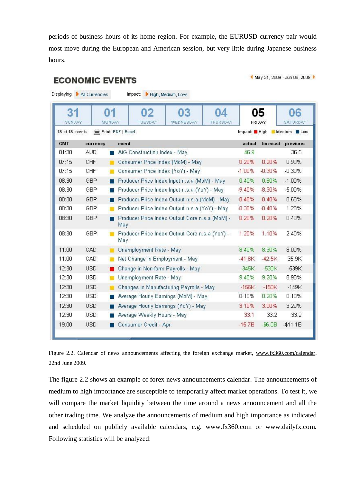periods of business hours of its home region. For example, the EURUSD currency pair would most move during the European and American session, but very little during Japanese business hours.

**ECONOMIC EVENTS** 

May 31, 2009 - Jun 06, 2009 ▶

| SUNDAY          | 01         | 04<br>02<br>З<br>MONDAY<br>TUESDAY<br>WEDNESDAY<br>THURSDAY |              | 05<br><b>FRIDAY</b> | 06<br>SATURDAY    |
|-----------------|------------|-------------------------------------------------------------|--------------|---------------------|-------------------|
| 18 of 18 events |            | Print: PDF   Excel                                          | Impact: High |                     | Medium BLow       |
| <b>GMT</b>      | currency   | event                                                       | actual       |                     | forecast previous |
| 01:30           | AUD.       | AiG Construction Index - May                                | 46.9         |                     | 36.5              |
| 07:15           | CHF        | Consumer Price Index (MoM) - May<br>m                       | 0.20%        | 0.20%               | 0.90%             |
| 07:15           | CHF        | Consumer Price Index (YoY) - May<br>編                       | $-1.00\%$    | $-0.90%$            | $-0.30%$          |
| 08:30           | GBP        | Producer Price Index Input n.s.a (MoM) - May                | 0.40%        | 0.80%               | $-1.00%$          |
| 08:30           | GBP        | Producer Price Index Input n.s.a (YoY) - May                | $-9.40%$     | $-8.30%$            | $-5.00%$          |
| 08:30           | GBP        | Producer Price Index Output n.s.a (MoM) - May               | 0.40%        | 0.40%               | 0.60%             |
| 08:30           | GBP        | Producer Price Index Output n.s.a (YoY) - May               | $-0.30%$     | $-0.40%$            | 1.20%             |
| 08:30           | GBP        | Producer Price Index Output Core n.s.a (MoM) -<br>May       | 0.20%        | 0.20%               | 0.40%             |
| 08:30           | GBP        | Producer Price Index Output Core n.s.a (YoY) -<br>May       | 1.20%        | 1.10%               | 2.40%             |
| 11:00           | CAD        | Unemployment Rate - May<br>ш                                | 8.40%        | 8.30%               | 8.00%             |
| 11:00           | CAD        | Net Change in Employment - May                              | $-41.8K$     | $-42.5K$            | 35.9K             |
| 12:30           | <b>USD</b> | Change in Non-farm Payrolls - May                           | $-345K$      | $-530K$             | $-539K$           |
| 12:30           | USD        | Unemployment Rate - May                                     | 9.40%        | 9.20%               | 8.90%             |
| 12:30           | <b>USD</b> | Changes in Manufacturing Payrolls - May<br>m                | $-156K$      | $-150K$             | $-149K$           |
| 12:30           | <b>USD</b> | Average Hourly Earnings (MoM) - May                         | 0.10%        | 0.20%               | 0.10%             |
| 12:30           | <b>USD</b> | Average Hourly Earnings (YoY) - May                         | 3.10%        | 3.00%               | 3.20%             |
| 12:30           | USD.       | Average Weekly Hours - May                                  | 33.1         | 33.2                | 33.2              |
| 19:00           | <b>USD</b> | Consumer Credit - Apr.                                      | $-15.7B$     | $ $6.0B$            | $-$11.1B$         |

Figure 2.2. Calendar of news announcements affecting the foreign exchange market, [www.fx360.com/calendar](http://www.fx360.com/calendar), 22nd June 2009.

The figure 2.2 shows an example of forex news announcements calendar. The announcements of medium to high importance are susceptible to temporarily affect market operations. To test it, we will compare the market liquidity between the time around a news announcement and all the other trading time. We analyze the announcements of medium and high importance as indicated and scheduled on publicly available calendars, e.g. [www.fx360.com](http://www.fx360.com) or [www.dailyfx.com](http://www.dailyfx.com). Following statistics will be analyzed: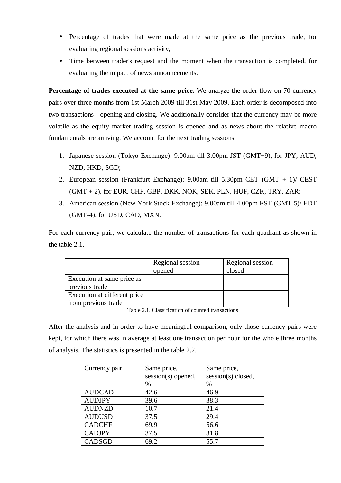- Percentage of trades that were made at the same price as the previous trade, for evaluating regional sessions activity,
- Time between trader's request and the moment when the transaction is completed, for evaluating the impact of news announcements.

**Percentage of trades executed at the same price.** We analyze the order flow on 70 currency pairs over three months from 1st March 2009 till 31st May 2009. Each order is decomposed into two transactions - opening and closing. We additionally consider that the currency may be more volatile as the equity market trading session is opened and as news about the relative macro fundamentals are arriving. We account for the next trading sessions:

- 1. Japanese session (Tokyo Exchange): 9.00am till 3.00pm JST (GMT+9), for JPY, AUD, NZD, HKD, SGD;
- 2. European session (Frankfurt Exchange): 9.00am till 5.30pm CET (GMT + 1)/ CEST  $(GMT + 2)$ , for EUR, CHF, GBP, DKK, NOK, SEK, PLN, HUF, CZK, TRY, ZAR;
- 3. American session (New York Stock Exchange): 9.00am till 4.00pm EST (GMT-5)/ EDT (GMT-4), for USD, CAD, MXN.

For each currency pair, we calculate the number of transactions for each quadrant as shown in the table 2.1.

|                              | Regional session<br>opened | Regional session<br>closed |
|------------------------------|----------------------------|----------------------------|
| Execution at same price as   |                            |                            |
| previous trade               |                            |                            |
| Execution at different price |                            |                            |
| from previous trade          |                            |                            |

Table 2.1. Classification of counted transactions

After the analysis and in order to have meaningful comparison, only those currency pairs were kept, for which there was in average at least one transaction per hour for the whole three months of analysis. The statistics is presented in the table 2.2.

| Currency pair | Same price,<br>session(s) opened, | Same price,<br>session(s) closed, |
|---------------|-----------------------------------|-----------------------------------|
|               | $\%$                              | %                                 |
| <b>AUDCAD</b> | 42.6                              | 46.9                              |
| <b>AUDJPY</b> | 39.6                              | 38.3                              |
| <b>AUDNZD</b> | 10.7                              | 21.4                              |
| <b>AUDUSD</b> | 37.5                              | 29.4                              |
| <b>CADCHF</b> | 69.9                              | 56.6                              |
| <b>CADJPY</b> | 37.5                              | 31.8                              |
| <b>CADSGD</b> | 69.2                              | 55.7                              |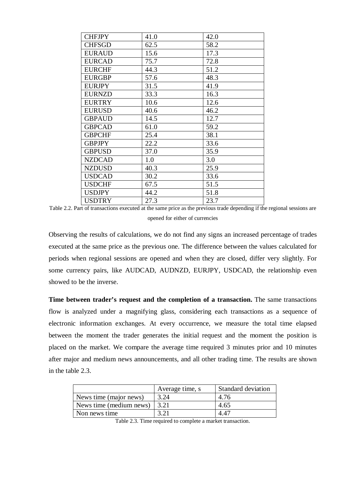| <b>CHFJPY</b> | 41.0 | 42.0 |
|---------------|------|------|
| <b>CHFSGD</b> | 62.5 | 58.2 |
| <b>EURAUD</b> | 15.6 | 17.3 |
| <b>EURCAD</b> | 75.7 | 72.8 |
| <b>EURCHF</b> | 44.3 | 51.2 |
| <b>EURGBP</b> | 57.6 | 48.3 |
| <b>EURJPY</b> | 31.5 | 41.9 |
| <b>EURNZD</b> | 33.3 | 16.3 |
| <b>EURTRY</b> | 10.6 | 12.6 |
| <b>EURUSD</b> | 40.6 | 46.2 |
| <b>GBPAUD</b> | 14.5 | 12.7 |
| <b>GBPCAD</b> | 61.0 | 59.2 |
| <b>GBPCHF</b> | 25.4 | 38.1 |
| <b>GBPJPY</b> | 22.2 | 33.6 |
| <b>GBPUSD</b> | 37.0 | 35.9 |
| <b>NZDCAD</b> | 1.0  | 3.0  |
| <b>NZDUSD</b> | 40.3 | 25.9 |
| <b>USDCAD</b> | 30.2 | 33.6 |
| <b>USDCHF</b> | 67.5 | 51.5 |
| <b>USDJPY</b> | 44.2 | 51.8 |
| <b>USDTRY</b> | 27.3 | 23.7 |

Table 2.2. Part of transactions executed at the same price as the previous trade depending if the regional sessions are opened for either of currencies

Observing the results of calculations, we do not find any signs an increased percentage of trades executed at the same price as the previous one. The difference between the values calculated for periods when regional sessions are opened and when they are closed, differ very slightly. For some currency pairs, like AUDCAD, AUDNZD, EURJPY, USDCAD, the relationship even showed to be the inverse.

**Time between trader's request and the completion of a transaction.** The same transactions flow is analyzed under a magnifying glass, considering each transactions as a sequence of electronic information exchanges. At every occurrence, we measure the total time elapsed between the moment the trader generates the initial request and the moment the position is placed on the market. We compare the average time required 3 minutes prior and 10 minutes after major and medium news announcements, and all other trading time. The results are shown in the table 2.3.

|                         | Average time, s  | <b>Standard deviation</b> |
|-------------------------|------------------|---------------------------|
| News time (major news)  | 3.24             | 4.76                      |
| News time (medium news) | $\frac{3.21}{2}$ | 4.65                      |
| Non news time           |                  | 4.47                      |

Table 2.3. Time required to complete a market transaction.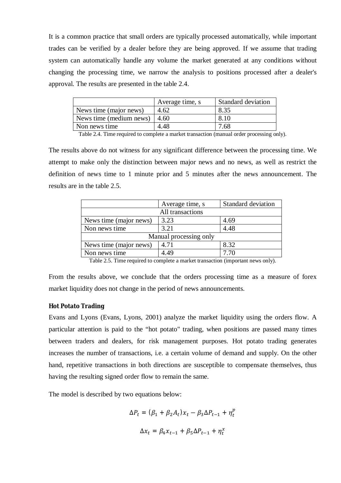It is a common practice that small orders are typically processed automatically, while important trades can be verified by a dealer before they are being approved. If we assume that trading system can automatically handle any volume the market generated at any conditions without changing the processing time, we narrow the analysis to positions processed after a dealer's approval. The results are presented in the table 2.4.

|                         | Average time, s | <b>Standard deviation</b> |
|-------------------------|-----------------|---------------------------|
| News time (major news)  | 4.62            | 8.35                      |
| News time (medium news) | 4.60            | 8.10                      |
| Non news time           | 4.48            | 7.68                      |

Table 2.4. Time required to complete a market transaction (manual order processing only).

The results above do not witness for any significant difference between the processing time. We attempt to make only the distinction between major news and no news, as well as restrict the definition of news time to 1 minute prior and 5 minutes after the news announcement. The results are in the table 2.5.

|                        | Average time, s | Standard deviation |  |  |  |  |  |
|------------------------|-----------------|--------------------|--|--|--|--|--|
| All transactions       |                 |                    |  |  |  |  |  |
| News time (major news) | 3.23            | 4.69               |  |  |  |  |  |
| Non news time          | 3.21            | 4.48               |  |  |  |  |  |
| Manual processing only |                 |                    |  |  |  |  |  |
| News time (major news) | 4.71            | 8.32               |  |  |  |  |  |
| Non news time          | 4.49            | 7.70               |  |  |  |  |  |
| ---------              |                 | $\sim$<br>. .      |  |  |  |  |  |

Table 2.5. Time required to complete a market transaction (important news only).

From the results above, we conclude that the orders processing time as a measure of forex market liquidity does not change in the period of news announcements.

#### **Hot Potato Trading**

Evans and Lyons (Evans, Lyons, 2001) analyze the market liquidity using the orders flow. A particular attention is paid to the "hot potato" trading, when positions are passed many times between traders and dealers, for risk management purposes. Hot potato trading generates increases the number of transactions, i.e. a certain volume of demand and supply. On the other hand, repetitive transactions in both directions are susceptible to compensate themselves, thus having the resulting signed order flow to remain the same.

The model is described by two equations below:

$$
\Delta P_t = (\beta_1 + \beta_2 A_t) x_t - \beta_3 \Delta P_{t-1} + \eta_t^p
$$
  

$$
\Delta x_t = \beta_4 x_{t-1} + \beta_5 \Delta P_{t-1} + \eta_t^x
$$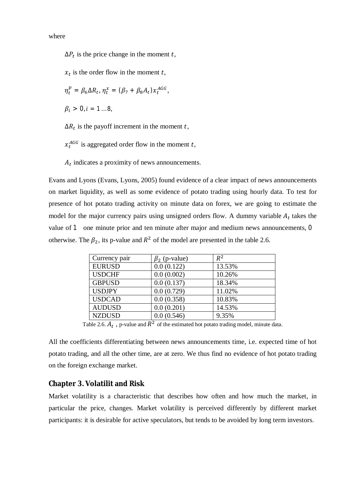where

 $\Delta P_t$  is the price change in the moment t,

 $x_t$  is the order flow in the moment t,

$$
\eta_t^p = \beta_6 \Delta R_t, \eta_t^x = (\beta_7 + \beta_8 A_t) x_t^{AGG},
$$

 $\beta_i > 0, i = 1 ... 8,$ 

 $\Delta R_t$  is the payoff increment in the moment t,

 $x_t^{AGG}$  is aggregated order flow in the moment t,

 $A_t$  indicates a proximity of news announcements.

Evans and Lyons (Evans, Lyons, 2005) found evidence of a clear impact of news announcements on market liquidity, as well as some evidence of potato trading using hourly data. To test for presence of hot potato trading activity on minute data on forex, we are going to estimate the model for the major currency pairs using unsigned orders flow. A dummy variable  $A_t$  takes the value of  $1$  one minute prior and ten minute after major and medium news announcements,  $0$ otherwise. The  $\beta_2$ , its p-value and  $R^2$  of the model are presented in the table 2.6.

| Currency pair | $\beta_2$ (p-value) | $R^2$  |
|---------------|---------------------|--------|
| <b>EURUSD</b> | 0.0(0.122)          | 13.53% |
| <b>USDCHF</b> | 0.0(0.002)          | 10.26% |
| <b>GBPUSD</b> | 0.0(0.137)          | 18.34% |
| <b>USDJPY</b> | 0.0(0.729)          | 11.02% |
| <b>USDCAD</b> | 0.0(0.358)          | 10.83% |
| <b>AUDUSD</b> | 0.0(0.201)          | 14.53% |
| <b>NZDUSD</b> | 0.0(0.546)          | 9.35%  |

Table 2.6.  $A_t$ , p-value and  $R^2$  of the estimated hot potato trading model, minute data.

All the coefficients differentiating between news announcements time, i.e. expected time of hot potato trading, and all the other time, are at zero. We thus find no evidence of hot potato trading on the foreign exchange market.

# **Chapter 3. Volatilit and Risk**

Market volatility is a characteristic that describes how often and how much the market, in particular the price, changes. Market volatility is perceived differently by different market participants: it is desirable for active speculators, but tends to be avoided by long term investors.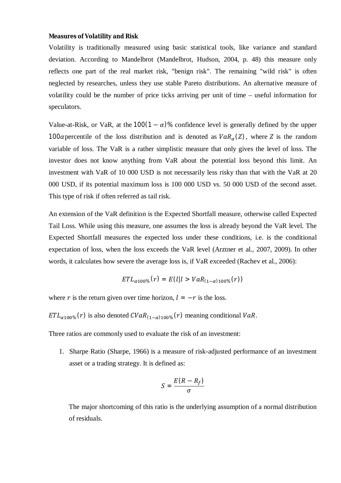#### **Measures of Volatility and Risk**

Volatility is traditionally measured using basic statistical tools, like variance and standard deviation. According to Mandelbrot (Mandelbrot, Hudson, 2004, p. 48) this measure only reflects one part of the real market risk, "benign risk". The remaining "wild risk" is often neglected by researches, unless they use stable Pareto distributions. An alternative measure of volatility could be the number of price ticks arriving per unit of time – useful information for speculators.

Value-at-Risk, or VaR, at the  $100(1 - \alpha)$ % confidence level is generally defined by the upper 100 a percentile of the loss distribution and is denoted as  $VaR_{\alpha}(Z)$ , where Z is the random variable of loss. The VaR is a rather simplistic measure that only gives the level of loss. The investor does not know anything from VaR about the potential loss beyond this limit. An investment with VaR of 10 000 USD is not necessarily less risky than that with the VaR at 20 000 USD, if its potential maximum loss is 100 000 USD vs. 50 000 USD of the second asset. This type of risk if often referred as tail risk.

An extension of the VaR definition is the Expected Shortfall measure, otherwise called Expected Tail Loss. While using this measure, one assumes the loss is already beyond the VaR level. The Expected Shortfall measures the expected loss under these conditions, i.e. is the conditional expectation of loss, when the loss exceeds the VaR level (Arztner et al., 2007, 2009). In other words, it calculates how severe the average loss is, if VaR exceeded (Rachev et al., 2006):

$$
ETL_{\alpha 100\%}(r) = E(l|l > VaR_{(1-\alpha)100\%}(r))
$$

where r is the return given over time horizon,  $l = -r$  is the loss.

 $ETL_{\alpha100\%}(r)$  is also denoted  $CVaR_{(1-\alpha)100\%}(r)$  meaning conditional  $VaR$ .

Three ratios are commonly used to evaluate the risk of an investment:

1. Sharpe Ratio (Sharpe, 1966) is a measure of risk-adjusted performance of an investment asset or a trading strategy. It is defined as:

$$
S=\frac{E(R-R_f)}{\sigma}
$$

The major shortcoming of this ratio is the underlying assumption of a normal distribution of residuals.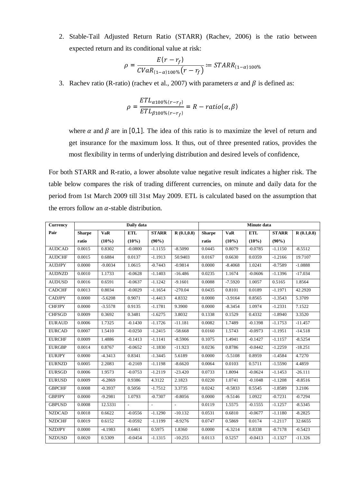2. Stable-Tail Adjusted Return Ratio (STARR) (Rachev, 2006) is the ratio between expected return and its conditional value at risk:

$$
\rho = \frac{E(r - r_f)}{CVaR_{(1-\alpha)100\%}(r - r_f)} := STARR_{(1-\alpha)100\%}
$$

3. Rachev ratio (R-ratio) (rachev et al., 2007) with parameters  $\alpha$  and  $\beta$  is defined as:

$$
\rho = \frac{ETL_{\alpha 100\% (r-r_f)}}{ETL_{\beta 100\% (r-r_f)}} = R - ratio(\alpha, \beta)
$$

where  $\alpha$  and  $\beta$  are in [0,1]. The idea of this ratio is to maximize the level of return and get insurance for the maximum loss. It thus, out of three presented ratios, provides the most flexibility in terms of underlying distribution and desired levels of confidence,

For both STARR and R-ratio, a lower absolute value negative result indicates a higher risk. The table below compares the risk of trading different currencies, on minute and daily data for the period from 1st March 2009 till 31st May 2009. ETL is calculated based on the assumption that the errors follow an  $\alpha$ -stable distribution.

| <b>Currency</b> | Daily data    |            |               |                             |               | Minute data   |             |            |              |             |
|-----------------|---------------|------------|---------------|-----------------------------|---------------|---------------|-------------|------------|--------------|-------------|
| Pair            | <b>Sharpe</b> | <b>VaR</b> | <b>ETL</b>    | <b>STARR</b>                | R(0.1, 0.8)   | <b>Sharpe</b> | ${\bf VaR}$ | <b>ETL</b> | <b>STARR</b> | R(0.1, 0.8) |
|                 | ratio         | $(10\%)$   | $(10\%)$      | $(90\%)$                    |               | ratio         | $(10\%)$    | $(10\%)$   | $(90\%)$     |             |
| <b>AUDCAD</b>   | 0.0015        | 0.8302     | $-0.0800$     | $-1.1155$                   | $-8.5090$     | 0.0445        | 0.8079      | $-0.0785$  | $-1.1150$    | $-8.5512$   |
| <b>AUDCHF</b>   | 0.0015        | 0.6884     | 0.0137        | $-1.1913$                   | 50.9403       | 0.0167        | 0.6630      | 0.0359     | $-1.2166$    | 19.7107     |
| <b>AUDJPY</b>   | 0.0000        | $-9.0034$  | 1.0615        | $-0.7443$                   | $-0.9814$     | 0.0000        | $-8.4068$   | 1.0241     | $-0.7589$    | $-1.0888$   |
| <b>AUDNZD</b>   | 0.0010        | 1.1733     | $-0.0628$     | $-1.1403$                   | $-16.486$     | 0.0235        | 1.1674      | $-0.0606$  | $-1.1396$    | $-17.034$   |
| <b>AUDUSD</b>   | 0.0016        | 0.6591     | $-0.0637$     | $-1.1242$                   | $-9.1601$     | 0.0088        | $-7.5920$   | 1.0057     | 0.5165       | 1.8564      |
| <b>CADCHF</b>   | 0.0013        | 0.8034     | $-0.0029$     | $-1.1654$                   | $-270.04$     | 0.0435        | 0.8101      | 0.0189     | $-1.1971$    | 42.2920     |
| <b>CADJPY</b>   | 0.0000        | $-5.6208$  | 0.9071        | $-1.4413$                   | 4.8332        | 0.0000        | $-3.9164$   | 0.8565     | $-1.3543$    | 5.3709      |
| <b>CHFJPY</b>   | 0.0000        | $-3.5578$  | 0.9135        | $-1.1781$                   | 9.3900        | 0.0000        | $-8.3454$   | 1.0974     | $-1.2331$    | 7.1522      |
| <b>CHFSGD</b>   | 0.0009        | 0.3692     | 0.3481        | $-1.6275$                   | 3.8032        | 0.1338        | 0.1529      | 0.4332     | $-1.8940$    | 3.3520      |
| <b>EURAUD</b>   | 0.0006        | 1.7325     | $-0.1430$     | $-1.1726$                   | $-11.181$     | 0.0082        | 1.7489      | $-0.1398$  | $-1.1753$    | $-11.457$   |
| <b>EURCAD</b>   | 0.0007        | 1.5410     | $-0.0250$     | $-1.2415$                   | $-58.668$     | 0.0160        | 1.5743      | $-0.0973$  | $-1.1951$    | $-14.518$   |
| <b>EURCHF</b>   | 0.0009        | 1.4886     | $-0.1413$     | $-1.1141$                   | $-8.5906$     | 0.1075        | 1.4941      | $-0.1427$  | $-1.1157$    | $-8.5254$   |
| <b>EURGBP</b>   | 0.0014        | 0.8767     | $-0.0652$     | $-1.1830$                   | $-11.923$     | 0.0236        | 0.8786      | $-0.0442$  | $-1.2259$    | $-18.251$   |
| <b>EURJPY</b>   | 0.0000        | $-4.3413$  | 0.8341        | $-1.3445$                   | 5.6189        | 0.0000        | $-5.5108$   | 0.8959     | $-1.4584$    | 4.7270      |
| <b>EURNZD</b>   | 0.0005        | 2.2083     | $-0.2169$     | $-1.1198$                   | $-8.6620$     | 0.0064        | 0.0103      | 0.5711     | $-1.5590$    | 4.4859      |
| <b>EURSGD</b>   | 0.0006        | 1.9573     | $-0.0753$     | $-1.2119$                   | $-23.420$     | 0.0733        | 1.8094      | $-0.0624$  | $-1.1453$    | $-26.111$   |
| <b>EURUSD</b>   | 0.0009        | $-6.2869$  | 0.9386        | 4.3122                      | 2.1823        | 0.0220        | 1.0741      | $-0.1048$  | $-1.1208$    | $-8.8516$   |
| <b>GBPCHF</b>   | 0.0008        | $-0.3937$  | 0.5056        | $-1.7512$                   | 3.3735        | 0.0242        | $-0.5833$   | 0.5545     | $-1.8589$    | 3.2106      |
| <b>GBPJPY</b>   | 0.0000        | $-9.2981$  | 1.0793        | $-0.7307$                   | $-0.8056$     | 0.0000        | $-9.5146$   | 1.0922     | $-0.7231$    | $-0.7294$   |
| <b>GBPUSD</b>   | 0.0008        | 12.5331    | $\mathcal{L}$ | $\mathcal{L}^{\mathcal{L}}$ | $\mathcal{L}$ | 0.0119        | 1.5575      | $-0.1555$  | $-1.1257$    | $-8.5345$   |
| <b>NZDCAD</b>   | 0.0018        | 0.6622     | $-0.0556$     | $-1.1290$                   | $-10.132$     | 0.0531        | 0.6810      | $-0.0677$  | $-1.1180$    | $-8.2825$   |
| <b>NZDCHF</b>   | 0.0019        | 0.6152     | $-0.0592$     | $-1.1199$                   | $-8.9276$     | 0.0747        | 0.5869      | 0.0174     | $-1.2117$    | 32.6655     |
| <b>NZDJPY</b>   | 0.0000        | $-4.1983$  | 0.6461        | 0.5975                      | 1.8360        | 0.0000        | $-6.3214$   | 0.8338     | $-0.7178$    | $-0.5423$   |
| <b>NZDUSD</b>   | 0.0020        | 0.5309     | $-0.0454$     | $-1.1315$                   | $-10.255$     | 0.0113        | 0.5257      | $-0.0413$  | $-1.1327$    | $-11.326$   |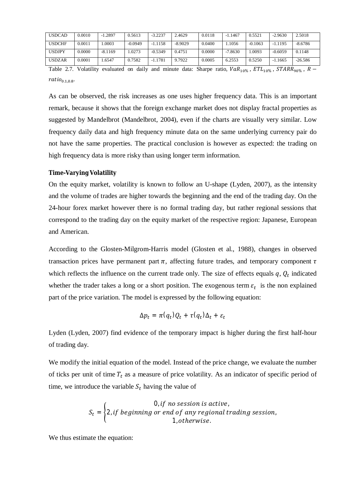| <b>USDCAD</b> | 0.0010 | $-1.2897$ | 0.5613    | $-3.2237$ | 2.4629    | 0.0118 | $-1.1467$ | 0.5521    | $-2.9630$ | 2.5018    |
|---------------|--------|-----------|-----------|-----------|-----------|--------|-----------|-----------|-----------|-----------|
| <b>USDCHF</b> | 0.0011 | .0003     | $-0.0949$ | $-1.1158$ | $-8.9029$ | 0.0400 | .1056     | $-0.1063$ | $-1.1195$ | $-8.6786$ |
| <b>USDJPY</b> | 0.0000 | $-8.1169$ | 1.0273    | $-0.5349$ | 0.4751    | 0.0000 | $-7.8630$ | .0093     | $-0.6059$ | 0.1148    |
| <b>USDZAR</b> | 0.0001 | .6547     | 0.7582    | $-1.1781$ | 9.7922    | 0.0005 | 6.2553    | 0.5250    | $-1.1665$ | $-26.586$ |

Table 2.7. Volatility evaluated on daily and minute data: Sharpe ratio,  $VaR_{10\%}$ ,  $ETL_{10\%}$ ,  $STARR_{90\%}$ ,  $R$  $ratio_{0.1,0.8}.$ 

As can be observed, the risk increases as one uses higher frequency data. This is an important remark, because it shows that the foreign exchange market does not display fractal properties as suggested by Mandelbrot (Mandelbrot, 2004), even if the charts are visually very similar. Low frequency daily data and high frequency minute data on the same underlying currency pair do not have the same properties. The practical conclusion is however as expected: the trading on high frequency data is more risky than using longer term information.

### **Time-Varying Volatility**

On the equity market, volatility is known to follow an U-shape (Lyden, 2007), as the intensity and the volume of trades are higher towards the beginning and the end of the trading day. On the 24-hour forex market however there is no formal trading day, but rather regional sessions that correspond to the trading day on the equity market of the respective region: Japanese, European and American.

According to the Glosten-Milgrom-Harris model (Glosten et al., 1988), changes in observed transaction prices have permanent part  $\pi$ , affecting future trades, and temporary component  $\tau$ which reflects the influence on the current trade only. The size of effects equals  $q, Q_t$  indicated whether the trader takes a long or a short position. The exogenous term  $\varepsilon_t$  is the non explained part of the price variation. The model is expressed by the following equation:

$$
\Delta p_t = \pi(q_t)Q_t + \tau(q_t)\Delta_t + \varepsilon_t
$$

Lyden (Lyden, 2007) find evidence of the temporary impact is higher during the first half-hour of trading day.

We modify the initial equation of the model. Instead of the price change, we evaluate the number of ticks per unit of time  $T_t$  as a measure of price volatility. As an indicator of specific period of time, we introduce the variable  $S_t$  having the value of

$$
S_t = \begin{cases} 0, if no session is active, \\ 2, if beginning or end of any regional trading session, \\ 1, otherwise. \end{cases}
$$

We thus estimate the equation: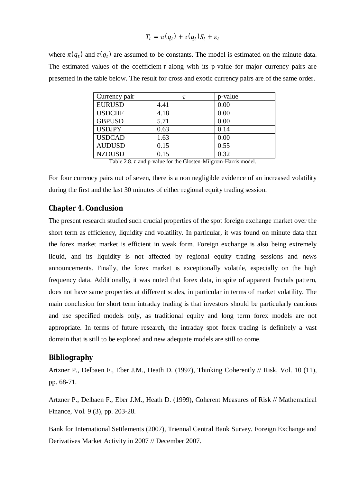$$
T_t = \pi(q_t) + \tau(q_t)S_t + \varepsilon_t
$$

where  $\pi(q_t)$  and  $\tau(q_t)$  are assumed to be constants. The model is estimated on the minute data. The estimated values of the coefficient  $\tau$  along with its p-value for major currency pairs are presented in the table below. The result for cross and exotic currency pairs are of the same order.

| Currency pair | τ    | p-value |
|---------------|------|---------|
| <b>EURUSD</b> | 4.41 | 0.00    |
| <b>USDCHF</b> | 4.18 | 0.00    |
| <b>GBPUSD</b> | 5.71 | 0.00    |
| <b>USDJPY</b> | 0.63 | 0.14    |
| <b>USDCAD</b> | 1.63 | 0.00    |
| <b>AUDUSD</b> | 0.15 | 0.55    |
| <b>NZDUSD</b> | 0.15 | 0.32    |
| _ _ _ _ _     | .    | __ _ _  |

Table 2.8.  $\tau$  and p-value for the Glosten-Milgrom-Harris model.

For four currency pairs out of seven, there is a non negligible evidence of an increased volatility during the first and the last 30 minutes of either regional equity trading session.

### **Chapter 4. Conclusion**

The present research studied such crucial properties of the spot foreign exchange market over the short term as efficiency, liquidity and volatility. In particular, it was found on minute data that the forex market market is efficient in weak form. Foreign exchange is also being extremely liquid, and its liquidity is not affected by regional equity trading sessions and news announcements. Finally, the forex market is exceptionally volatile, especially on the high frequency data. Additionally, it was noted that forex data, in spite of apparent fractals pattern, does not have same properties at different scales, in particular in terms of market volatility. The main conclusion for short term intraday trading is that investors should be particularly cautious and use specified models only, as traditional equity and long term forex models are not appropriate. In terms of future research, the intraday spot forex trading is definitely a vast domain that is still to be explored and new adequate models are still to come.

# **Bibliography**

Artzner P., Delbaen F., Eber J.M., Heath D. (1997), Thinking Coherently // Risk, Vol. 10 (11), pp. 68-71.

Artzner P., Delbaen F., Eber J.M., Heath D. (1999), Coherent Measures of Risk // Mathematical Finance, Vol. 9 (3), pp. 203-28.

Bank for International Settlements (2007), Triennal Central Bank Survey. Foreign Exchange and Derivatives Market Activity in 2007 // December 2007.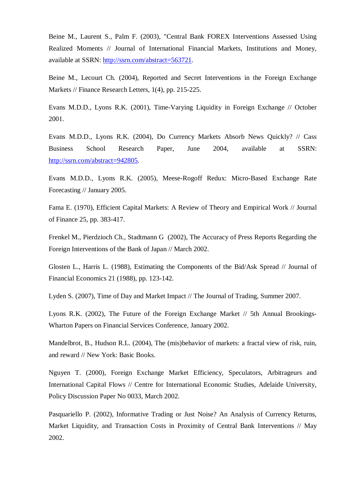Beine M., Laurent S., Palm F. (2003), "Central Bank FOREX Interventions Assessed Using Realized Moments // Journal of International Financial Markets, Institutions and Money, available at SSRN: <http://ssrn.com/abstract=563721>.

Beine M., Lecourt Ch. (2004), Reported and Secret Interventions in the Foreign Exchange Markets // Finance Research Letters, 1(4), pp. 215-225.

Evans M.D.D., Lyons R.K. (2001), Time-Varying Liquidity in Foreign Exchange // October 2001.

Evans M.D.D., Lyons R.K. (2004), Do Currency Markets Absorb News Quickly? // Cass Business School Research Paper, June 2004, available at SSRN: <http://ssrn.com/abstract=942805>.

Evans M.D.D., Lyons R.K. (2005), Meese-Rogoff Redux: Micro-Based Exchange Rate Forecasting // January 2005.

Fama E. (1970), Efficient Capital Markets: A Review of Theory and Empirical Work // Journal of Finance 25, pp. 383-417.

Frenkel M., Pierdzioch Ch., Stadtmann G (2002), The Accuracy of Press Reports Regarding the Foreign Interventions of the Bank of Japan // March 2002.

Glosten L., Harris L. (1988), Estimating the Components of the Bid/Ask Spread // Journal of Financial Economics 21 (1988), pp. 123-142.

Lyden S. (2007), Time of Day and Market Impact // The Journal of Trading, Summer 2007.

Lyons R.K. (2002), The Future of the Foreign Exchange Market // 5th Annual Brookings-Wharton Papers on Financial Services Conference, January 2002.

Mandelbrot, B., Hudson R.L. (2004), The (mis)behavior of markets: a fractal view of risk, ruin, and reward // New York: Basic Books.

Nguyen T. (2000), Foreign Exchange Market Efficiency, Speculators, Arbitrageurs and International Capital Flows // Centre for International Economic Studies, Adelaide University, Policy Discussion Paper No 0033, March 2002.

Pasquariello P. (2002), Informative Trading or Just Noise? An Analysis of Currency Returns, Market Liquidity, and Transaction Costs in Proximity of Central Bank Interventions // May 2002.